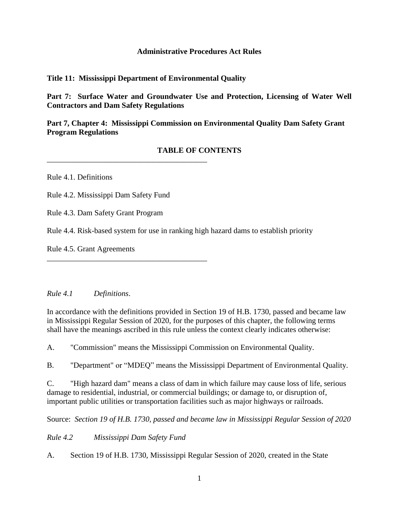#### **Administrative Procedures Act Rules**

#### **Title 11: Mississippi Department of Environmental Quality**

**Part 7: Surface Water and Groundwater Use and Protection, Licensing of Water Well Contractors and Dam Safety Regulations**

**Part 7, Chapter 4: Mississippi Commission on Environmental Quality Dam Safety Grant Program Regulations**

## **TABLE OF CONTENTS**

Rule 4.1. Definitions

Rule 4.2. Mississippi Dam Safety Fund

\_\_\_\_\_\_\_\_\_\_\_\_\_\_\_\_\_\_\_\_\_\_\_\_\_\_\_\_\_\_\_\_\_\_\_\_\_\_\_\_\_

\_\_\_\_\_\_\_\_\_\_\_\_\_\_\_\_\_\_\_\_\_\_\_\_\_\_\_\_\_\_\_\_\_\_\_\_\_\_\_\_\_

Rule 4.3. Dam Safety Grant Program

Rule 4.4. Risk-based system for use in ranking high hazard dams to establish priority

Rule 4.5. Grant Agreements

*Rule 4.1 Definitions*.

In accordance with the definitions provided in Section 19 of H.B. 1730, passed and became law in Mississippi Regular Session of 2020, for the purposes of this chapter, the following terms shall have the meanings ascribed in this rule unless the context clearly indicates otherwise:

A. "Commission" means the Mississippi Commission on Environmental Quality.

B. "Department" or "MDEQ" means the Mississippi Department of Environmental Quality.

C. "High hazard dam" means a class of dam in which failure may cause loss of life, serious damage to residential, industrial, or commercial buildings; or damage to, or disruption of, important public utilities or transportation facilities such as major highways or railroads.

Source: *Section 19 of H.B. 1730, passed and became law in Mississippi Regular Session of 2020* 

*Rule 4.2 Mississippi Dam Safety Fund*

A. Section 19 of H.B. 1730, Mississippi Regular Session of 2020, created in the State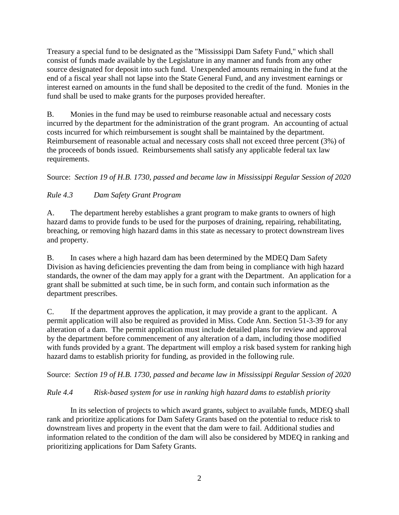Treasury a special fund to be designated as the "Mississippi Dam Safety Fund," which shall consist of funds made available by the Legislature in any manner and funds from any other source designated for deposit into such fund. Unexpended amounts remaining in the fund at the end of a fiscal year shall not lapse into the State General Fund, and any investment earnings or interest earned on amounts in the fund shall be deposited to the credit of the fund. Monies in the fund shall be used to make grants for the purposes provided hereafter.

B. Monies in the fund may be used to reimburse reasonable actual and necessary costs incurred by the department for the administration of the grant program. An accounting of actual costs incurred for which reimbursement is sought shall be maintained by the department. Reimbursement of reasonable actual and necessary costs shall not exceed three percent (3%) of the proceeds of bonds issued. Reimbursements shall satisfy any applicable federal tax law requirements.

Source: *Section 19 of H.B. 1730, passed and became law in Mississippi Regular Session of 2020*

# *Rule 4.3 Dam Safety Grant Program*

A. The department hereby establishes a grant program to make grants to owners of high hazard dams to provide funds to be used for the purposes of draining, repairing, rehabilitating, breaching, or removing high hazard dams in this state as necessary to protect downstream lives and property.

B. In cases where a high hazard dam has been determined by the MDEQ Dam Safety Division as having deficiencies preventing the dam from being in compliance with high hazard standards, the owner of the dam may apply for a grant with the Department. An application for a grant shall be submitted at such time, be in such form, and contain such information as the department prescribes.

C. If the department approves the application, it may provide a grant to the applicant. A permit application will also be required as provided in Miss. Code Ann. Section 51-3-39 for any alteration of a dam. The permit application must include detailed plans for review and approval by the department before commencement of any alteration of a dam, including those modified with funds provided by a grant. The department will employ a risk based system for ranking high hazard dams to establish priority for funding, as provided in the following rule.

Source: *Section 19 of H.B. 1730, passed and became law in Mississippi Regular Session of 2020*

## *Rule 4.4 Risk-based system for use in ranking high hazard dams to establish priority*

In its selection of projects to which award grants, subject to available funds, MDEQ shall rank and prioritize applications for Dam Safety Grants based on the potential to reduce risk to downstream lives and property in the event that the dam were to fail. Additional studies and information related to the condition of the dam will also be considered by MDEQ in ranking and prioritizing applications for Dam Safety Grants.